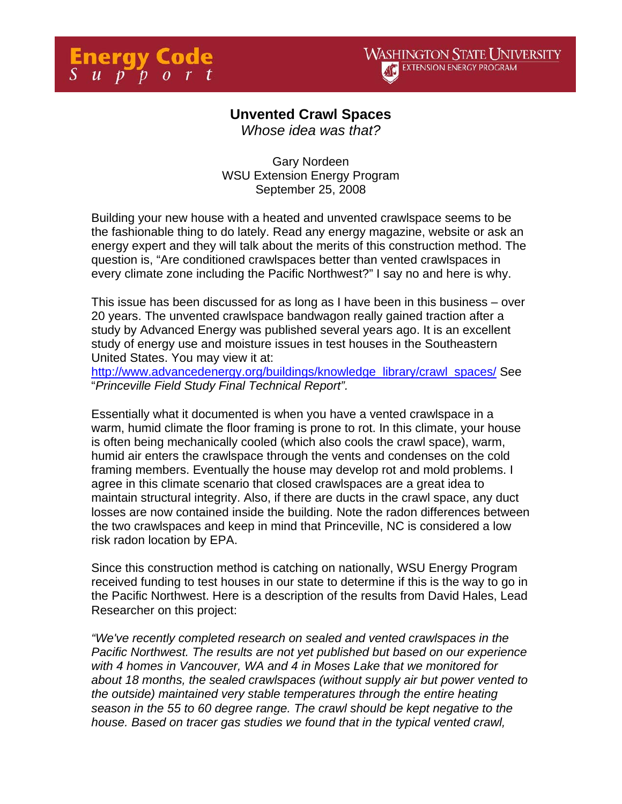

## **Unvented Crawl Spaces**

*Whose idea was that?* 

Gary Nordeen WSU Extension Energy Program September 25, 2008

Building your new house with a heated and unvented crawlspace seems to be the fashionable thing to do lately. Read any energy magazine, website or ask an energy expert and they will talk about the merits of this construction method. The question is, "Are conditioned crawlspaces better than vented crawlspaces in every climate zone including the Pacific Northwest?" I say no and here is why.

This issue has been discussed for as long as I have been in this business – over 20 years. The unvented crawlspace bandwagon really gained traction after a study by Advanced Energy was published several years ago. It is an excellent study of energy use and moisture issues in test houses in the Southeastern United States. You may view it at:

http://www.advancedenergy.org/buildings/knowledge\_library/crawl\_spaces/ See "*Princeville Field Study Final Technical Report".*

Essentially what it documented is when you have a vented crawlspace in a warm, humid climate the floor framing is prone to rot. In this climate, your house is often being mechanically cooled (which also cools the crawl space), warm, humid air enters the crawlspace through the vents and condenses on the cold framing members. Eventually the house may develop rot and mold problems. I agree in this climate scenario that closed crawlspaces are a great idea to maintain structural integrity. Also, if there are ducts in the crawl space, any duct losses are now contained inside the building. Note the radon differences between the two crawlspaces and keep in mind that Princeville, NC is considered a low risk radon location by EPA.

Since this construction method is catching on nationally, WSU Energy Program received funding to test houses in our state to determine if this is the way to go in the Pacific Northwest. Here is a description of the results from David Hales, Lead Researcher on this project:

*"We've recently completed research on sealed and vented crawlspaces in the Pacific Northwest. The results are not yet published but based on our experience with 4 homes in Vancouver, WA and 4 in Moses Lake that we monitored for about 18 months, the sealed crawlspaces (without supply air but power vented to the outside) maintained very stable temperatures through the entire heating season in the 55 to 60 degree range. The crawl should be kept negative to the house. Based on tracer gas studies we found that in the typical vented crawl,*